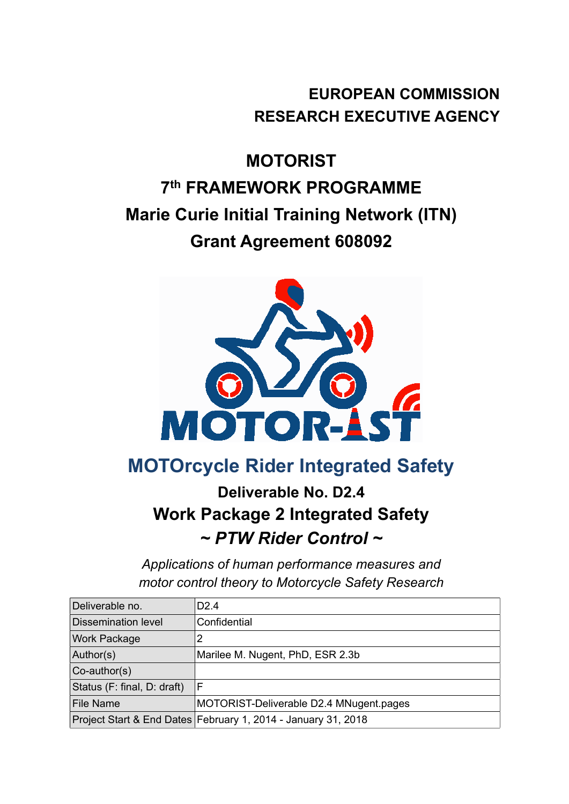#### **EUROPEAN COMMISSION RESEARCH EXECUTIVE AGENCY**

# **MOTORIST 7th FRAMEWORK PROGRAMME Marie Curie Initial Training Network (ITN) Grant Agreement 608092**



# **MOTOrcycle Rider Integrated Safety**

## **Deliverable No. D2.4 Work Package 2 Integrated Safety** *~ PTW Rider Control ~*

*Applications of human performance measures and motor control theory to Motorcycle Safety Research* 

| Deliverable no.             | D <sub>2.4</sub>                                              |
|-----------------------------|---------------------------------------------------------------|
| <b>Dissemination level</b>  | Confidential                                                  |
| <b>Work Package</b>         | 2                                                             |
| Author(s)                   | Marilee M. Nugent, PhD, ESR 2.3b                              |
| Co-author(s)                |                                                               |
| Status (F: final, D: draft) | ΙF                                                            |
| File Name                   | MOTORIST-Deliverable D2.4 MNugent.pages                       |
|                             | Project Start & End Dates February 1, 2014 - January 31, 2018 |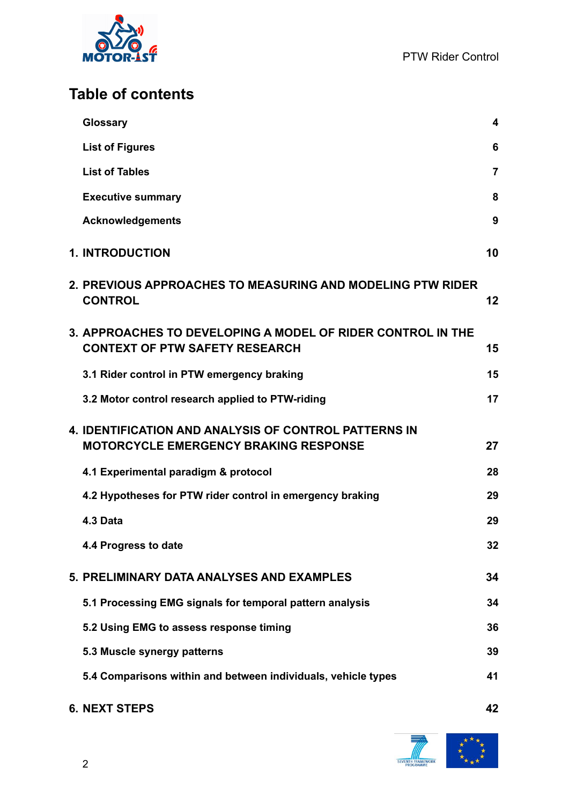

### **Table of contents**

| Glossary                                                                                              | 4  |
|-------------------------------------------------------------------------------------------------------|----|
| <b>List of Figures</b>                                                                                | 6  |
| <b>List of Tables</b>                                                                                 | 7  |
| <b>Executive summary</b>                                                                              | 8  |
| <b>Acknowledgements</b>                                                                               | 9  |
| <b>1. INTRODUCTION</b>                                                                                | 10 |
| 2. PREVIOUS APPROACHES TO MEASURING AND MODELING PTW RIDER<br><b>CONTROL</b>                          | 12 |
| 3. APPROACHES TO DEVELOPING A MODEL OF RIDER CONTROL IN THE<br><b>CONTEXT OF PTW SAFETY RESEARCH</b>  | 15 |
| 3.1 Rider control in PTW emergency braking                                                            | 15 |
| 3.2 Motor control research applied to PTW-riding                                                      | 17 |
| 4. IDENTIFICATION AND ANALYSIS OF CONTROL PATTERNS IN<br><b>MOTORCYCLE EMERGENCY BRAKING RESPONSE</b> | 27 |
| 4.1 Experimental paradigm & protocol                                                                  | 28 |
| 4.2 Hypotheses for PTW rider control in emergency braking                                             | 29 |
| 4.3 Data                                                                                              | 29 |
| 4.4 Progress to date                                                                                  | 32 |
| 5. PRELIMINARY DATA ANALYSES AND EXAMPLES                                                             | 34 |
| 5.1 Processing EMG signals for temporal pattern analysis                                              | 34 |
| 5.2 Using EMG to assess response timing                                                               | 36 |
| 5.3 Muscle synergy patterns                                                                           | 39 |
| 5.4 Comparisons within and between individuals, vehicle types                                         | 41 |
|                                                                                                       |    |

**6. NEXT STEPS 42**

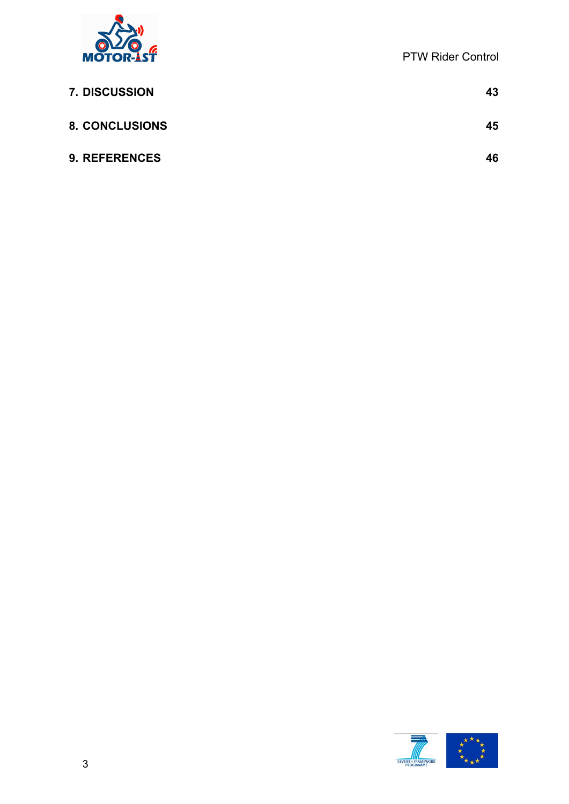

PTW Rider Control

| <b>7. DISCUSSION</b>  | 43 |
|-----------------------|----|
| <b>8. CONCLUSIONS</b> | 45 |
| <b>9. REFERENCES</b>  | 46 |

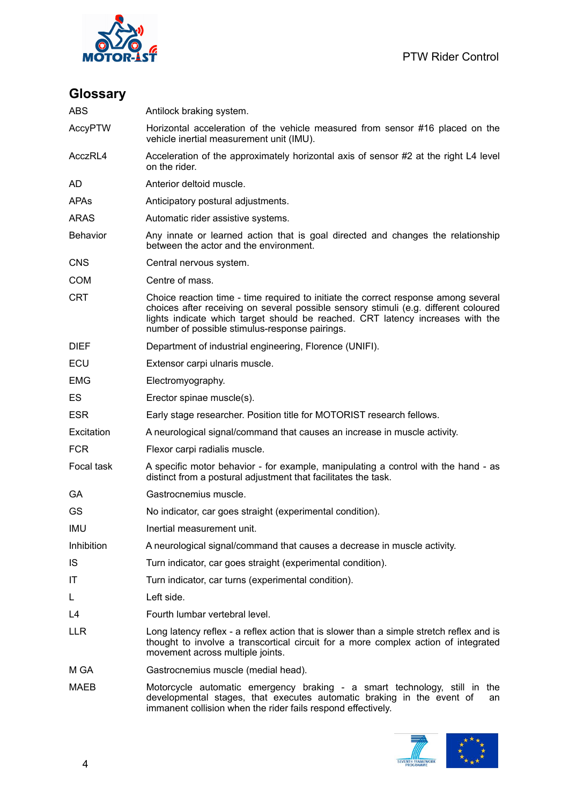

#### <span id="page-3-0"></span>**Glossary**

| <b>ABS</b>     | Antilock braking system.                                                                                                                                                                                                                                                                                        |
|----------------|-----------------------------------------------------------------------------------------------------------------------------------------------------------------------------------------------------------------------------------------------------------------------------------------------------------------|
| <b>AccyPTW</b> | Horizontal acceleration of the vehicle measured from sensor #16 placed on the<br>vehicle inertial measurement unit (IMU).                                                                                                                                                                                       |
| AcczRL4        | Acceleration of the approximately horizontal axis of sensor #2 at the right L4 level<br>on the rider.                                                                                                                                                                                                           |
| AD             | Anterior deltoid muscle.                                                                                                                                                                                                                                                                                        |
| <b>APAs</b>    | Anticipatory postural adjustments.                                                                                                                                                                                                                                                                              |
| <b>ARAS</b>    | Automatic rider assistive systems.                                                                                                                                                                                                                                                                              |
| Behavior       | Any innate or learned action that is goal directed and changes the relationship<br>between the actor and the environment.                                                                                                                                                                                       |
| <b>CNS</b>     | Central nervous system.                                                                                                                                                                                                                                                                                         |
| <b>COM</b>     | Centre of mass.                                                                                                                                                                                                                                                                                                 |
| CRT            | Choice reaction time - time required to initiate the correct response among several<br>choices after receiving on several possible sensory stimuli (e.g. different coloured<br>lights indicate which target should be reached. CRT latency increases with the<br>number of possible stimulus-response pairings. |
| <b>DIEF</b>    | Department of industrial engineering, Florence (UNIFI).                                                                                                                                                                                                                                                         |
| ECU            | Extensor carpi ulnaris muscle.                                                                                                                                                                                                                                                                                  |
| <b>EMG</b>     | Electromyography.                                                                                                                                                                                                                                                                                               |
| ES             | Erector spinae muscle(s).                                                                                                                                                                                                                                                                                       |
| <b>ESR</b>     | Early stage researcher. Position title for MOTORIST research fellows.                                                                                                                                                                                                                                           |
| Excitation     | A neurological signal/command that causes an increase in muscle activity.                                                                                                                                                                                                                                       |
| <b>FCR</b>     | Flexor carpi radialis muscle.                                                                                                                                                                                                                                                                                   |
| Focal task     | A specific motor behavior - for example, manipulating a control with the hand - as<br>distinct from a postural adjustment that facilitates the task.                                                                                                                                                            |
| GА             | Gastrocnemius muscle.                                                                                                                                                                                                                                                                                           |
| GS             | No indicator, car goes straight (experimental condition).                                                                                                                                                                                                                                                       |
| IMU            | Inertial measurement unit.                                                                                                                                                                                                                                                                                      |
| Inhibition     | A neurological signal/command that causes a decrease in muscle activity.                                                                                                                                                                                                                                        |
| IS             | Turn indicator, car goes straight (experimental condition).                                                                                                                                                                                                                                                     |
| IT             | Turn indicator, car turns (experimental condition).                                                                                                                                                                                                                                                             |
| L              | Left side.                                                                                                                                                                                                                                                                                                      |
| L4             | Fourth lumbar vertebral level.                                                                                                                                                                                                                                                                                  |
| <b>LLR</b>     | Long latency reflex - a reflex action that is slower than a simple stretch reflex and is<br>thought to involve a transcortical circuit for a more complex action of integrated<br>movement across multiple joints.                                                                                              |
| M GA           | Gastrocnemius muscle (medial head).                                                                                                                                                                                                                                                                             |
| MAEB           | Motorcycle automatic emergency braking - a smart technology, still in the<br>developmental stages, that executes automatic braking in the event of<br>an                                                                                                                                                        |

immanent collision when the rider fails respond effectively.

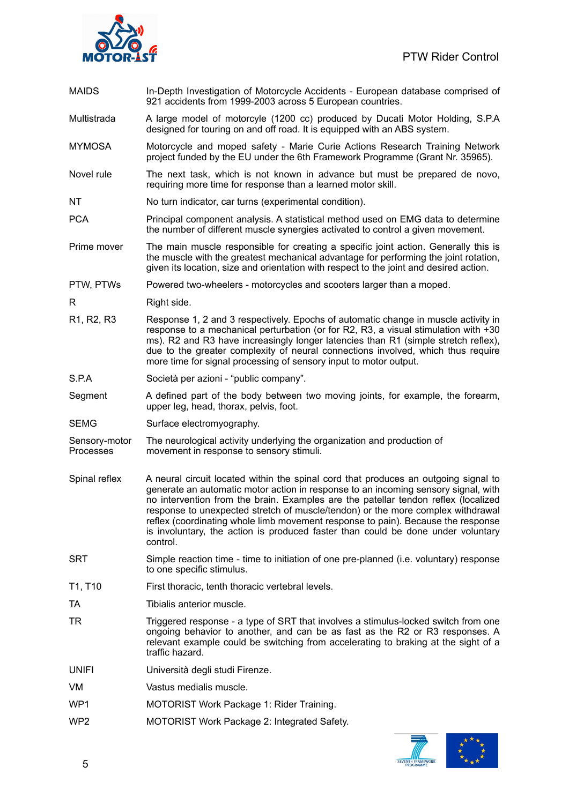

- MAIDS In-Depth Investigation of Motorcycle Accidents European database comprised of 921 accidents from 1999-2003 across 5 European countries.
- Multistrada A large model of motorcyle (1200 cc) produced by Ducati Motor Holding, S.P.A designed for touring on and off road. It is equipped with an ABS system.
- MYMOSA Motorcycle and moped safety Marie Curie Actions Research Training Network project funded by the EU under the 6th Framework Programme (Grant Nr. 35965).
- Novel rule The next task, which is not known in advance but must be prepared de novo, requiring more time for response than a learned motor skill.
- NT No turn indicator, car turns (experimental condition).
- PCA Principal component analysis. A statistical method used on EMG data to determine the number of different muscle synergies activated to control a given movement.
- Prime mover The main muscle responsible for creating a specific joint action. Generally this is the muscle with the greatest mechanical advantage for performing the joint rotation, given its location, size and orientation with respect to the joint and desired action.
- PTW, PTWs Powered two-wheelers motorcycles and scooters larger than a moped.

R Right side.

- R1, R2, R3 Response 1, 2 and 3 respectively. Epochs of automatic change in muscle activity in response to a mechanical perturbation (or for R2, R3, a visual stimulation with +30 ms). R2 and R3 have increasingly longer latencies than R1 (simple stretch reflex), due to the greater complexity of neural connections involved, which thus require more time for signal processing of sensory input to motor output.
- S.P.A Società per azioni "public company".
- Segment A defined part of the body between two moving joints, for example, the forearm, upper leg, head, thorax, pelvis, foot.
- SEMG Surface electromyography.
- Sensory-motor The neurological activity underlying the organization and production of Processes movement in response to sensory stimuli.
- Spinal reflex A neural circuit located within the spinal cord that produces an outgoing signal to generate an automatic motor action in response to an incoming sensory signal, with no intervention from the brain. Examples are the patellar tendon reflex (localized response to unexpected stretch of muscle/tendon) or the more complex withdrawal reflex (coordinating whole limb movement response to pain). Because the response is involuntary, the action is produced faster than could be done under voluntary control.
- SRT Simple reaction time time to initiation of one pre-planned (i.e. voluntary) response to one specific stimulus.
- T1, T10 First thoracic, tenth thoracic vertebral levels.
- TA Tibialis anterior muscle.
- TR Triggered response a type of SRT that involves a stimulus-locked switch from one ongoing behavior to another, and can be as fast as the R2 or R3 responses. A relevant example could be switching from accelerating to braking at the sight of a traffic hazard.
- UNIFI Università degli studi Firenze.
- VM Vastus medialis muscle.
- WP1 MOTORIST Work Package 1: Rider Training.
- WP2 MOTORIST Work Package 2: Integrated Safety.

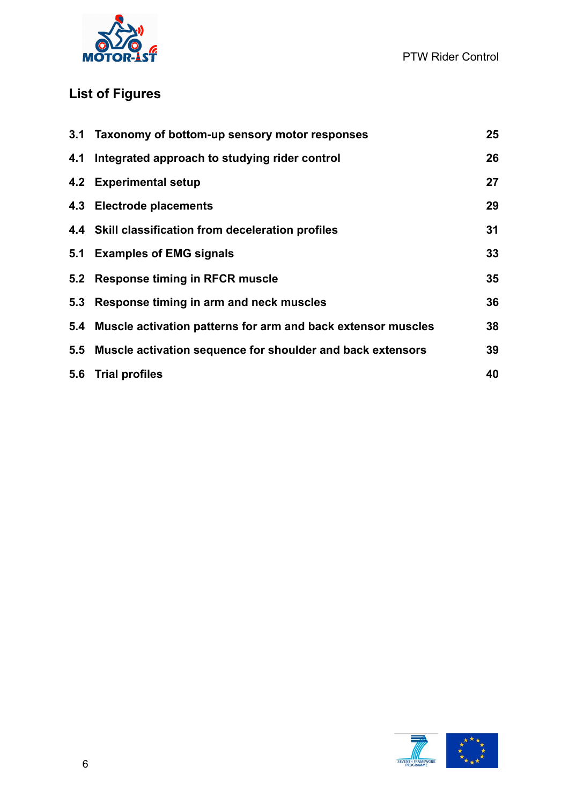

### <span id="page-5-0"></span>**List of Figures**

|     | 3.1 Taxonomy of bottom-up sensory motor responses                | 25              |
|-----|------------------------------------------------------------------|-----------------|
|     | 4.1 Integrated approach to studying rider control                | 26              |
|     | 4.2 Experimental setup                                           | 27              |
|     | 4.3 Electrode placements                                         | 29              |
|     | 4.4 Skill classification from deceleration profiles              | 31              |
|     | 5.1 Examples of EMG signals                                      | 33              |
|     | 5.2 Response timing in RFCR muscle                               | 35 <sub>5</sub> |
| 5.3 | Response timing in arm and neck muscles                          | 36              |
|     | 5.4 Muscle activation patterns for arm and back extensor muscles | 38              |
|     | 5.5 Muscle activation sequence for shoulder and back extensors   | 39              |
|     | 5.6 Trial profiles                                               | 40              |

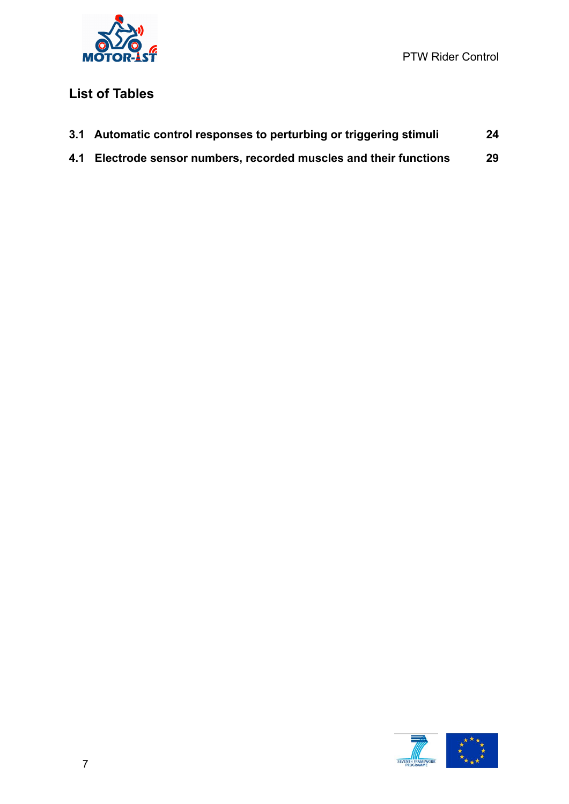

#### <span id="page-6-0"></span>**List of Tables**

| 3.1 Automatic control responses to perturbing or triggering stimuli | 24 |
|---------------------------------------------------------------------|----|
|                                                                     |    |

**4.1 Electrode sensor numbers, recorded muscles and their functions 29**

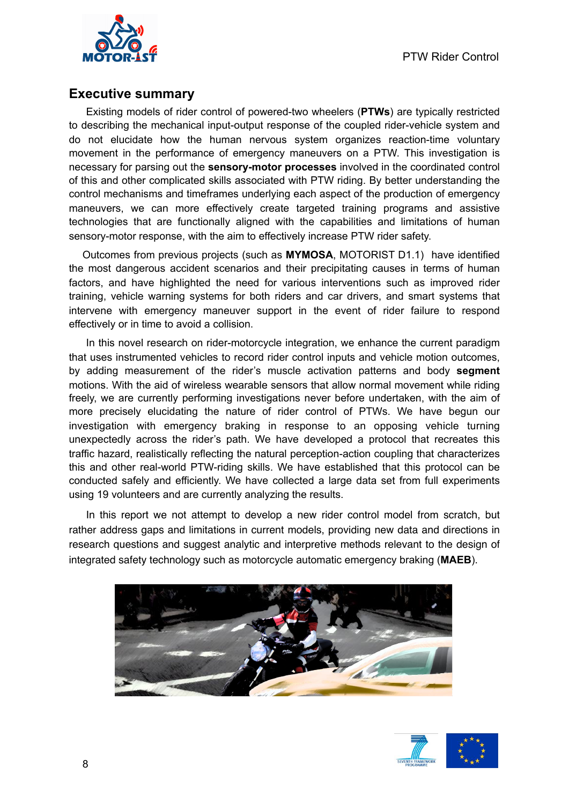

#### <span id="page-7-0"></span>**Executive summary**

Existing models of rider control of powered-two wheelers (**PTWs**) are typically restricted to describing the mechanical input-output response of the coupled rider-vehicle system and do not elucidate how the human nervous system organizes reaction-time voluntary movement in the performance of emergency maneuvers on a PTW. This investigation is necessary for parsing out the **sensory-motor processes** involved in the coordinated control of this and other complicated skills associated with PTW riding. By better understanding the control mechanisms and timeframes underlying each aspect of the production of emergency maneuvers, we can more effectively create targeted training programs and assistive technologies that are functionally aligned with the capabilities and limitations of human sensory-motor response, with the aim to effectively increase PTW rider safety.

Outcomes from previous projects (such as **MYMOSA**, MOTORIST D1.1) have identified the most dangerous accident scenarios and their precipitating causes in terms of human factors, and have highlighted the need for various interventions such as improved rider training, vehicle warning systems for both riders and car drivers, and smart systems that intervene with emergency maneuver support in the event of rider failure to respond effectively or in time to avoid a collision.

In this novel research on rider-motorcycle integration, we enhance the current paradigm that uses instrumented vehicles to record rider control inputs and vehicle motion outcomes, by adding measurement of the rider's muscle activation patterns and body **segment** motions. With the aid of wireless wearable sensors that allow normal movement while riding freely, we are currently performing investigations never before undertaken, with the aim of more precisely elucidating the nature of rider control of PTWs. We have begun our investigation with emergency braking in response to an opposing vehicle turning unexpectedly across the rider's path. We have developed a protocol that recreates this traffic hazard, realistically reflecting the natural perception-action coupling that characterizes this and other real-world PTW-riding skills. We have established that this protocol can be conducted safely and efficiently. We have collected a large data set from full experiments using 19 volunteers and are currently analyzing the results.

In this report we not attempt to develop a new rider control model from scratch, but rather address gaps and limitations in current models, providing new data and directions in research questions and suggest analytic and interpretive methods relevant to the design of integrated safety technology such as motorcycle automatic emergency braking (**MAEB**).